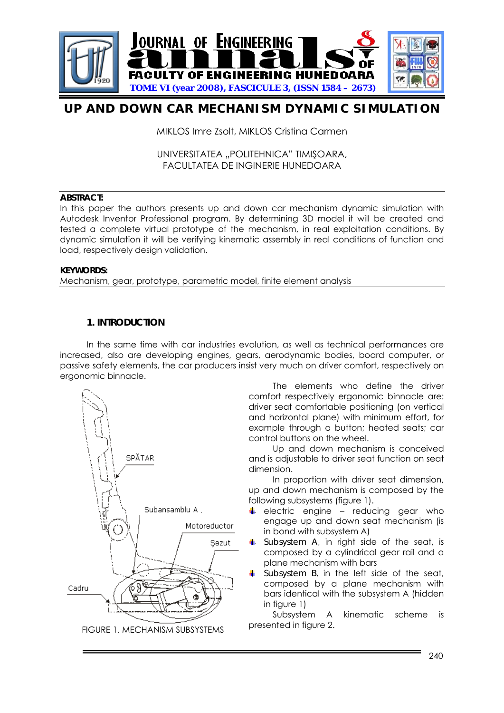

# **UP AND DOWN CAR MECHANISM DYNAMIC SIMULATION**

MIKLOS Imre Zsolt, MIKLOS Cristina Carmen

UNIVERSITATEA "POLITEHNICA" TIMIŞOARA, FACULTATEA DE INGINERIE HUNEDOARA

## **ABSTRACT:**

In this paper the authors presents up and down car mechanism dynamic simulation with Autodesk Inventor Professional program. By determining 3D model it will be created and tested a complete virtual prototype of the mechanism, in real exploitation conditions. By dynamic simulation it will be verifying kinematic assembly in real conditions of function and load, respectively design validation.

#### **KEYWORDS:**

Mechanism, gear, prototype, parametric model, finite element analysis

## **1. INTRODUCTION**

In the same time with car industries evolution, as well as technical performances are increased, also are developing engines, gears, aerodynamic bodies, board computer, or passive safety elements, the car producers insist very much on driver comfort, respectively on ergonomic binnacle.



The elements who define the driver comfort respectively ergonomic binnacle are: driver seat comfortable positioning (on vertical and horizontal plane) with minimum effort, for example through a button; heated seats; car control buttons on the wheel.

Up and down mechanism is conceived and is adjustable to driver seat function on seat dimension.

In proportion with driver seat dimension, up and down mechanism is composed by the following subsystems (figure 1).

- $\overline{\phantom{a}}$  electric engine reducing gear who engage up and down seat mechanism (is in bond with subsystem A)
- *Subsystem A*, in right side of the seat, is composed by a cylindrical gear rail and a plane mechanism with bars
- *Subsystem B*, in the left side of the seat, composed by a plane mechanism with bars identical with the subsystem A (hidden in figure 1)

Subsystem A kinematic scheme is presented in figure 2.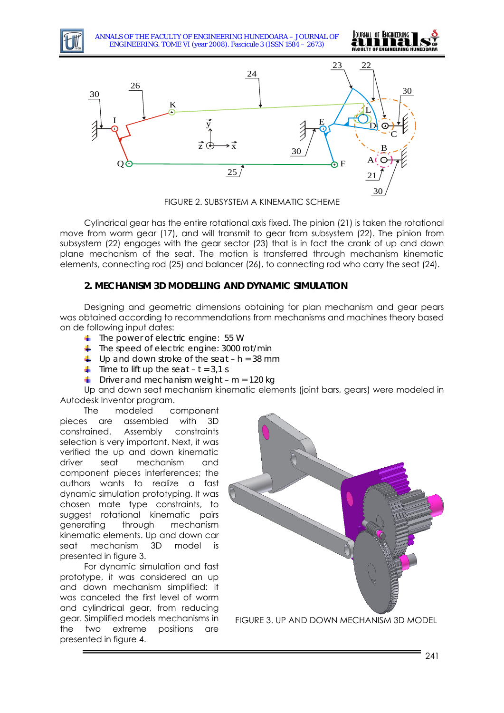

ANNALS OF THE FACULTY OF ENGINEERING HUNEDOARA – JOURNAL OF ENGINEERING. TOME VI (year 2008). Fascicule 3 (ISSN 1584 – 2673)





FIGURE 2. SUBSYSTEM A KINEMATIC SCHEME

Cylindrical gear has the entire rotational axis fixed. The pinion (21) is taken the rotational move from worm gear (17), and will transmit to gear from subsystem (22). The pinion from subsystem (22) engages with the gear sector (23) that is in fact the crank of up and down plane mechanism of the seat. The motion is transferred through mechanism kinematic elements, connecting rod (25) and balancer (26), to connecting rod who carry the seat (24).

#### **2. MECHANISM 3D MODELLING AND DYNAMIC SIMULATION**

Designing and geometric dimensions obtaining for plan mechanism and gear pears was obtained according to recommendations from mechanisms and machines theory based on de following input dates:

- *The power of electric engine: 55 W*
- *The speed of electric engine: 3000 rot/min*
- *Up and down stroke of the seat h = 38 mm*
- $\frac{1}{\sqrt{1}}$  *Time to lift up the seat t = 3,1 s*
- *Driver and mechanism weight m = 120 kg*

Up and down seat mechanism kinematic elements (joint bars, gears) were modeled in Autodesk Inventor program.

The modeled component pieces are assembled with 3D constrained. Assembly constraints selection is very important. Next, it was verified the up and down kinematic driver seat mechanism and component pieces interferences; the authors wants to realize a fast dynamic simulation prototyping. It was chosen mate type constraints, to suggest rotational kinematic pairs generating through mechanism kinematic elements. Up and down car seat mechanism 3D model is presented in figure 3.

For dynamic simulation and fast prototype, it was considered an up and down mechanism simplified: it was canceled the first level of worm and cylindrical gear, from reducing gear. Simplified models mechanisms in the two extreme positions are presented in figure 4.



FIGURE 3. UP AND DOWN MECHANISM 3D MODEL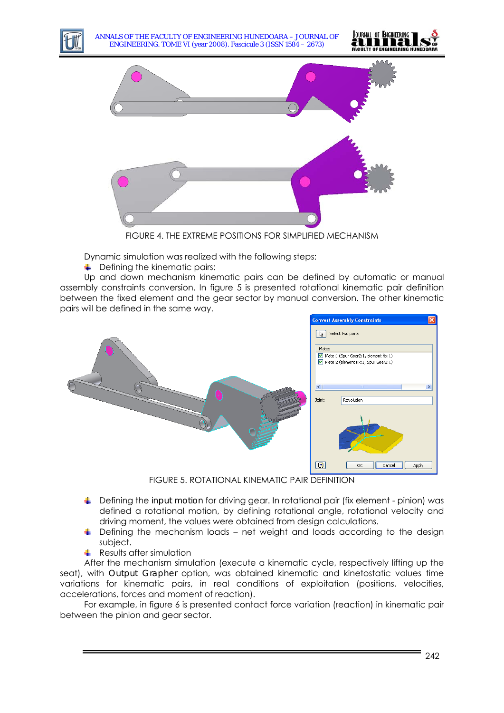

ANNALS OF THE FACULTY OF ENGINEERING HUNEDOARA – JOURNAL OF ENGINEERING. TOME VI (year 2008). Fascicule 3 (ISSN 1584 – 2673)





FIGURE 4. THE EXTREME POSITIONS FOR SIMPLIFIED MECHANISM

Dynamic simulation was realized with the following steps:

 $\leftarrow$  Defining the kinematic pairs:

Up and down mechanism kinematic pairs can be defined by automatic or manual assembly constraints conversion. In figure 5 is presented rotational kinematic pair definition between the fixed element and the gear sector by manual conversion. The other kinematic pairs will be defined in the same way.



FIGURE 5. ROTATIONAL KINEMATIC PAIR DEFINITION

- Defining the *input motion* for driving gear. In rotational pair (fix element pinion) was defined a rotational motion, by defining rotational angle, rotational velocity and driving moment, the values were obtained from design calculations.
- $\ddot{\bullet}$  Defining the mechanism loads net weight and loads according to the design subject.
- $\leftarrow$  Results after simulation

After the mechanism simulation (execute a kinematic cycle, respectively lifting up the seat), with *Output Grapher* option, was obtained kinematic and kinetostatic values time variations for kinematic pairs, in real conditions of exploitation (positions, velocities, accelerations, forces and moment of reaction).

For example, in figure 6 is presented contact force variation (reaction) in kinematic pair between the pinion and gear sector.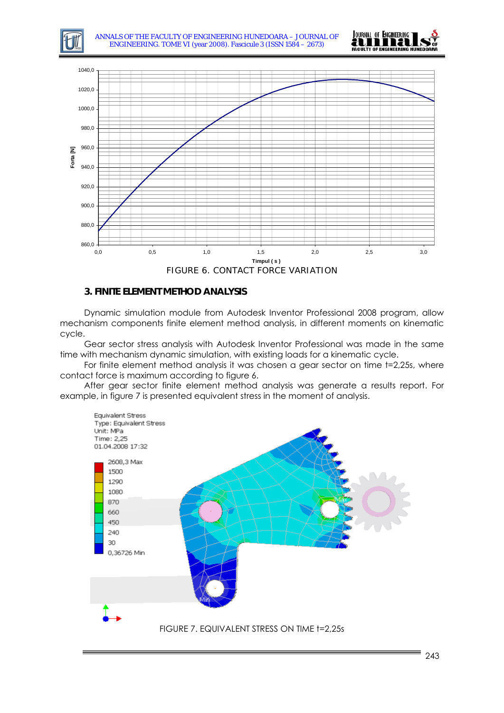



## **3. FINITE ELEMENT METHOD ANALYSIS**

Dynamic simulation module from Autodesk Inventor Professional 2008 program, allow mechanism components finite element method analysis, in different moments on kinematic cycle.

Gear sector stress analysis with Autodesk Inventor Professional was made in the same time with mechanism dynamic simulation, with existing loads for a kinematic cycle.

For finite element method analysis it was chosen a gear sector on time t=2,25s, where contact force is maximum according to figure 6.

After gear sector finite element method analysis was generate a results report. For example, in figure 7 is presented equivalent stress in the moment of analysis.